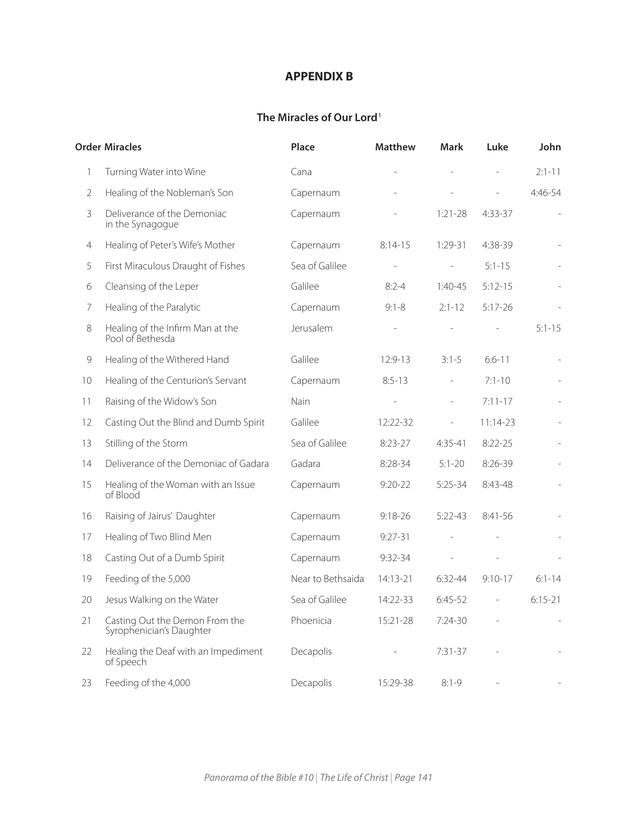## **APPENDIX B**

## **The Miracles of Our Lord**<sup>1</sup>

|                | <b>Order Miracles</b>                                      | Place             | <b>Matthew</b> | <b>Mark</b>              | Luke          | John        |
|----------------|------------------------------------------------------------|-------------------|----------------|--------------------------|---------------|-------------|
| 1              | Turning Water into Wine                                    | Cana              |                |                          | $\frac{1}{2}$ | $2:1 - 11$  |
| $\overline{2}$ | Healing of the Nobleman's Son                              | Capernaum         |                |                          |               | 4:46-54     |
| 3              | Deliverance of the Demoniac<br>in the Synagogue            | Capernaum         |                | $1:21-28$                | $4:33-37$     |             |
| 4              | Healing of Peter's Wife's Mother                           | Capernaum         | $8:14-15$      | 1:29-31                  | 4:38-39       |             |
| 5              | First Miraculous Draught of Fishes                         | Sea of Galilee    |                |                          | $5:1 - 15$    |             |
| 6              | Cleansing of the Leper                                     | Galilee           | $8:2 - 4$      | $1:40-45$                | $5:12-15$     |             |
| 7              | Healing of the Paralytic                                   | Capernaum         | $9:1 - 8$      | $2:1-12$                 | $5:17 - 26$   |             |
| 8              | Healing of the Infirm Man at the<br>Pool of Bethesda       | Jerusalem         |                |                          |               | $5:1 - 15$  |
| $\mathcal{G}$  | Healing of the Withered Hand                               | Galilee           | $12:9-13$      | $3:1-5$                  | $6:6 - 11$    |             |
| 10             | Healing of the Centurion's Servant                         | Capernaum         | $8:5-13$       | $\overline{\phantom{a}}$ | $7:1 - 10$    |             |
| 11             | Raising of the Widow's Son                                 | Nain              |                | ÷,                       | $7:11 - 17$   |             |
| 12             | Casting Out the Blind and Dumb Spirit                      | Galilee           | 12:22-32       | ÷,                       | 11:14-23      |             |
| 13             | Stilling of the Storm                                      | Sea of Galilee    | $8:23-27$      | $4:35 - 41$              | $8:22 - 25$   |             |
| 14             | Deliverance of the Demoniac of Gadara                      | Gadara            | $8:28-34$      | $5:1 - 20$               | $8:26 - 39$   |             |
| 15             | Healing of the Woman with an Issue<br>of Blood             | Capernaum         | $9:20 - 22$    | $5:25-34$                | 8:43-48       |             |
| 16             | Raising of Jairus' Daughter                                | Capernaum         | $9:18 - 26$    | $5:22 - 43$              | 8:41-56       |             |
| 17             | Healing of Two Blind Men                                   | Capernaum         | $9:27 - 31$    |                          |               |             |
| 18             | Casting Out of a Dumb Spirit                               | Capernaum         | $9:32-34$      |                          |               |             |
| 19             | Feeding of the 5,000                                       | Near to Bethsaida | 14:13-21       | $6:32-44$                | $9:10 - 17$   | $6:1 - 14$  |
| 20             | Jesus Walking on the Water                                 | Sea of Galilee    | 14:22-33       | $6:45-52$                |               | $6:15 - 21$ |
| 21             | Casting Out the Demon From the<br>Syrophenician's Daughter | Phoenicia         | 15:21-28       | $7:24-30$                |               |             |
| 22             | Healing the Deaf with an Impediment<br>of Speech           | Decapolis         |                | $7:31-37$                |               |             |
| 23             | Feeding of the 4,000                                       | Decapolis         | 15:29-38       | $8:1 - 9$                |               |             |